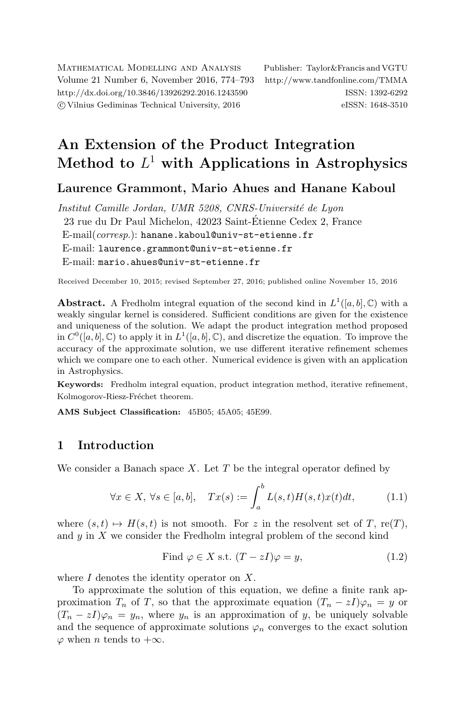Mathematical Modelling and Analysis Publisher: Taylor&Francis and VGTU Volume 21 Number 6, November 2016, 774–793 <http://www.tandfonline.com/TMMA> <http://dx.doi.org/10.3846/13926292.2016.1243590> ISSN: 1392-6292 c Vilnius Gediminas Technical University, 2016 eISSN: 1648-3510

# An Extension of the Product Integration Method to  $L^1$  with Applications in Astrophysics

## Laurence Grammont, Mario Ahues and Hanane Kaboul

Institut Camille Jordan, UMR 5208, CNRS-Université de Lyon 23 rue du Dr Paul Michelon, 42023 Saint-Etienne Cedex 2, France ´  $E$ -mail $(corresp.)$ : [hanane.kaboul@univ-st-etienne.fr](mailto:hanane.kaboul@univ-st-etienne.fr) E-mail: [laurence.grammont@univ-st-etienne.fr](mailto:laurence.grammont@univ-st-etienne.fr) E-mail: [mario.ahues@univ-st-etienne.fr](mailto:mario.ahues@univ-st-etienne.fr)

Received December 10, 2015; revised September 27, 2016; published online November 15, 2016

**Abstract.** A Fredholm integral equation of the second kind in  $L^1([a, b], \mathbb{C})$  with a weakly singular kernel is considered. Sufficient conditions are given for the existence and uniqueness of the solution. We adapt the product integration method proposed in  $C^0([a, b], \mathbb{C})$  to apply it in  $L^1([a, b], \mathbb{C})$ , and discretize the equation. To improve the accuracy of the approximate solution, we use different iterative refinement schemes which we compare one to each other. Numerical evidence is given with an application in Astrophysics.

Keywords: Fredholm integral equation, product integration method, iterative refinement, Kolmogorov-Riesz-Fréchet theorem.

AMS Subject Classification: 45B05; 45A05; 45E99.

### 1 Introduction

We consider a Banach space X. Let  $T$  be the integral operator defined by

$$
\forall x \in X, \ \forall s \in [a, b], \quad Tx(s) := \int_a^b L(s, t)H(s, t)x(t)dt,
$$
\n(1.1)

where  $(s, t) \mapsto H(s, t)$  is not smooth. For z in the resolvent set of T, re(T), and  $y$  in  $X$  we consider the Fredholm integral problem of the second kind

<span id="page-0-1"></span><span id="page-0-0"></span>Find 
$$
\varphi \in X
$$
 s.t.  $(T - zI)\varphi = y$ ,  $(1.2)$ 

where  $I$  denotes the identity operator on  $X$ .

To approximate the solution of this equation, we define a finite rank approximation  $T_n$  of T, so that the approximate equation  $(T_n - zI)\varphi_n = y$  or  $(T_n - zI)\varphi_n = y_n$ , where  $y_n$  is an approximation of y, be uniquely solvable and the sequence of approximate solutions  $\varphi_n$  converges to the exact solution  $\varphi$  when *n* tends to  $+\infty$ .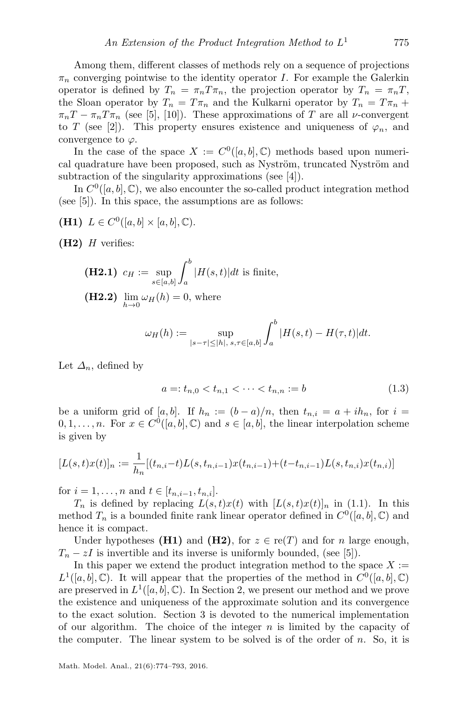Among them, different classes of methods rely on a sequence of projections  $\pi_n$  converging pointwise to the identity operator I. For example the Galerkin operator is defined by  $T_n = \pi_n T \pi_n$ , the projection operator by  $T_n = \pi_n T$ , the Sloan operator by  $T_n = T \pi_n$  and the Kulkarni operator by  $T_n = T \pi_n + T$  $\pi_n T - \pi_n T \pi_n$  (see [\[5\]](#page-17-0), [\[10\]](#page-17-1)). These approximations of T are all *v*-convergent to T (see [\[2\]](#page-17-2)). This property ensures existence and uniqueness of  $\varphi_n$ , and convergence to  $\varphi$ .

In the case of the space  $X := C^{0}([a, b], \mathbb{C})$  methods based upon numerical quadrature have been proposed, such as Nyström, truncated Nyström and subtraction of the singularity approximations (see [\[4\]](#page-17-3)).

In  $C^0([a, b], \mathbb{C})$ , we also encounter the so-called product integration method (see [\[5\]](#page-17-0)). In this space, the assumptions are as follows:

(H1)  $L \in C^0([a, b] \times [a, b], \mathbb{C}).$ 

 $(H2)$  H verifies:

**(H2.1)** 
$$
c_H := \sup_{s \in [a,b]} \int_a^b |H(s,t)| dt
$$
 is finite,  
**(H2.2)**  $\lim_{h \to 0} \omega_H(h) = 0$ , where

$$
\omega_H(h) := \sup_{|s-\tau| \le |h|, \, s,\tau \in [a,b]} \int_a^b |H(s,t) - H(\tau,t)| dt.
$$

Let  $\Delta_n$ , defined by

<span id="page-1-0"></span>
$$
a =: t_{n,0} < t_{n,1} < \dots < t_{n,n} := b \tag{1.3}
$$

be a uniform grid of [a, b]. If  $h_n := (b-a)/n$ , then  $t_{n,i} = a + ih_n$ , for  $i =$  $0, 1, \ldots, n$ . For  $x \in C^0([a, b], \mathbb{C})$  and  $s \in [a, b]$ , the linear interpolation scheme is given by

$$
[L(s,t)x(t)]_n := \frac{1}{h_n} [(t_{n,i}-t)L(s,t_{n,i-1})x(t_{n,i-1})+(t-t_{n,i-1})L(s,t_{n,i})x(t_{n,i})]
$$

for  $i = 1, ..., n$  and  $t \in [t_{n,i-1}, t_{n,i}].$ 

 $T_n$  is defined by replacing  $L(s,t)x(t)$  with  $[L(s,t)x(t)]_n$  in [\(1.1\)](#page-0-0). In this method  $T_n$  is a bounded finite rank linear operator defined in  $C^0([a, b], \mathbb{C})$  and hence it is compact.

Under hypotheses (H1) and (H2), for  $z \in \text{re}(T)$  and for n large enough,  $T_n - zI$  is invertible and its inverse is uniformly bounded, (see [\[5\]](#page-17-0)).

In this paper we extend the product integration method to the space  $X :=$  $L^1([a, b], \mathbb{C})$ . It will appear that the properties of the method in  $C^0([a, b], \mathbb{C})$ are preserved in  $L^1([a, b], \mathbb{C})$ . In Section [2,](#page-2-0) we present our method and we prove the existence and uniqueness of the approximate solution and its convergence to the exact solution. Section [3](#page-11-0) is devoted to the numerical implementation of our algorithm. The choice of the integer  $n$  is limited by the capacity of the computer. The linear system to be solved is of the order of  $n$ . So, it is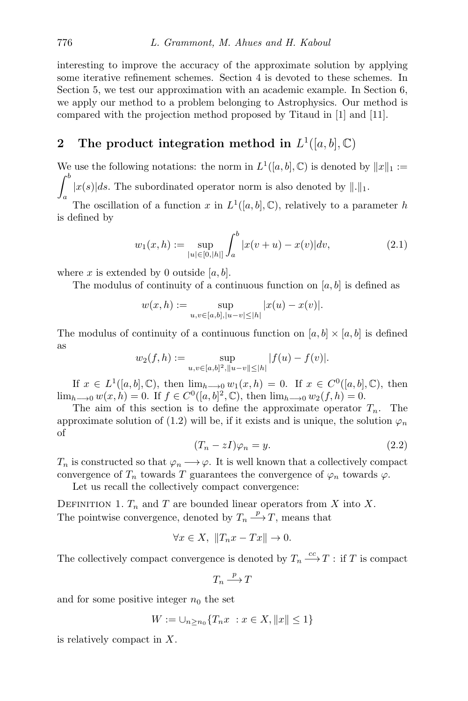interesting to improve the accuracy of the approximate solution by applying some iterative refinement schemes. Section [4](#page-13-0) is devoted to these schemes. In Section [5,](#page-14-0) we test our approximation with an academic example. In Section [6,](#page-15-0) we apply our method to a problem belonging to Astrophysics. Our method is compared with the projection method proposed by Titaud in [\[1\]](#page-17-4) and [\[11\]](#page-18-0).

## <span id="page-2-0"></span>2 The product integration method in  $L^1([a, b], \mathbb{C})$

We use the following notations: the norm in  $L^1([a, b], \mathbb{C})$  is denoted by  $||x||_1 :=$  $\int^b$  $\int_{a} |x(s)|ds$ . The subordinated operator norm is also denoted by  $\|.\|_1$ .

The oscillation of a function x in  $L^1([a, b], \mathbb{C})$ , relatively to a parameter h is defined by

<span id="page-2-1"></span>
$$
w_1(x,h) := \sup_{|u| \in [0,|h|]} \int_a^b |x(v+u) - x(v)| dv, \tag{2.1}
$$

where x is extended by 0 outside  $[a, b]$ .

The modulus of continuity of a continuous function on  $[a, b]$  is defined as

$$
w(x,h) := \sup_{u,v \in [a,b], |u-v| \le |h|} |x(u) - x(v)|.
$$

The modulus of continuity of a continuous function on  $[a, b] \times [a, b]$  is defined as

$$
w_2(f, h) := \sup_{u, v \in [a, b]^2, ||u - v|| \le |h|} |f(u) - f(v)|.
$$

If  $x \in L^1([a, b], \mathbb{C})$ , then  $\lim_{h \to 0} w_1(x, h) = 0$ . If  $x \in C^0([a, b], \mathbb{C})$ , then  $\lim_{h\to 0} w(x, h) = 0$ . If  $f \in C^{0}([a, b]^{2}, \mathbb{C})$ , then  $\lim_{h\to 0} w_{2}(f, h) = 0$ .

<span id="page-2-2"></span>The aim of this section is to define the approximate operator  $T_n$ . The approximate solution of [\(1.2\)](#page-0-1) will be, if it exists and is unique, the solution  $\varphi_n$ of

$$
(T_n - zI)\varphi_n = y. \tag{2.2}
$$

 $T_n$  is constructed so that  $\varphi_n \longrightarrow \varphi$ . It is well known that a collectively compact convergence of  $T_n$  towards T guarantees the convergence of  $\varphi_n$  towards  $\varphi$ .

Let us recall the collectively compact convergence:

DEFINITION 1.  $T_n$  and T are bounded linear operators from X into X. The pointwise convergence, denoted by  $T_n \stackrel{p}{\longrightarrow} T$ , means that

$$
\forall x \in X, \ \|T_n x - Tx\| \to 0.
$$

The collectively compact convergence is denoted by  $T_n \xrightarrow{cc} T$  : if T is compact

$$
T_n\stackrel{p}{\longrightarrow} T
$$

and for some positive integer  $n_0$  the set

$$
W := \bigcup_{n \ge n_0} \{ T_n x \ : x \in X, \|x\| \le 1 \}
$$

is relatively compact in X.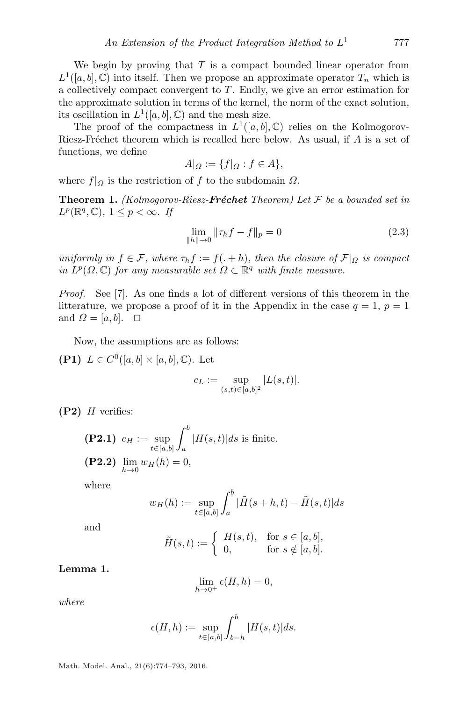We begin by proving that  $T$  is a compact bounded linear operator from  $L^1([a, b], \mathbb{C})$  into itself. Then we propose an approximate operator  $T_n$  which is a collectively compact convergent to T. Endly, we give an error estimation for the approximate solution in terms of the kernel, the norm of the exact solution, its oscillation in  $L^1([a, b], \mathbb{C})$  and the mesh size.

The proof of the compactness in  $L^1([a, b], \mathbb{C})$  relies on the Kolmogorov-Riesz-Fréchet theorem which is recalled here below. As usual, if  $A$  is a set of functions, we define

$$
A|_{\Omega} := \{f|_{\Omega} : f \in A\},\
$$

where  $f|_{Q}$  is the restriction of f to the subdomain  $\Omega$ .

**Theorem 1.** (Kolmogorov-Riesz-**Fréchet** Theorem) Let  $\mathcal F$  be a bounded set in  $L^p(\mathbb{R}^q, \mathbb{C}), 1 \leq p < \infty$ . If

<span id="page-3-0"></span>
$$
\lim_{\|h\| \to 0} \|\tau_h f - f\|_p = 0 \tag{2.3}
$$

uniformly in  $f \in \mathcal{F}$ , where  $\tau_h f := f(. + h)$ , then the closure of  $\mathcal{F}|_{\Omega}$  is compact in  $L^p(\Omega,\mathbb{C})$  for any measurable set  $\Omega \subset \mathbb{R}^q$  with finite measure.

Proof. See [\[7\]](#page-17-5). As one finds a lot of different versions of this theorem in the litterature, we propose a proof of it in the Appendix in the case  $q = 1, p = 1$ and  $\Omega = [a, b]$ .  $\Box$ 

Now, the assumptions are as follows:

(P1)  $L \in C^0([a, b] \times [a, b], \mathbb{C})$ . Let

$$
c_L := \sup_{(s,t) \in [a,b]^2} |L(s,t)|.
$$

 $(P2)$  H verifies:

\n
$$
\textbf{(P2.1)} \quad\n \begin{aligned}\n &c_H := \sup_{t \in [a, b]} \int_a^b |H(s, t)| \, ds \text{ is finite.} \\
&(\text{P2.2)} \quad \lim_{h \to 0} w_H(h) = 0,\n \end{aligned}
$$
\n

where

$$
w_H(h) := \sup_{t \in [a,b]} \int_a^b |\tilde{H}(s+h,t) - \tilde{H}(s,t)| ds
$$

and

$$
\tilde{H}(s,t) := \begin{cases} H(s,t), & \text{for } s \in [a,b], \\ 0, & \text{for } s \notin [a,b]. \end{cases}
$$

#### Lemma 1.

$$
\lim_{h \to 0^+} \epsilon(H, h) = 0,
$$

where

$$
\epsilon(H, h) := \sup_{t \in [a, b]} \int_{b-h}^{b} |H(s, t)| ds.
$$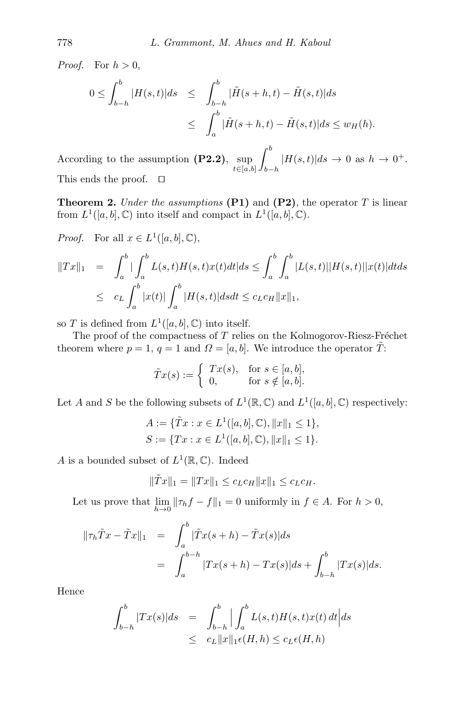*Proof.* For  $h > 0$ ,

$$
0 \leq \int_{b-h}^{b} |H(s,t)|ds \leq \int_{b-h}^{b} |\tilde{H}(s+h,t) - \tilde{H}(s,t)|ds
$$
  

$$
\leq \int_{a}^{b} |\tilde{H}(s+h,t) - \tilde{H}(s,t)|ds \leq w_H(h).
$$

According to the assumption  $(P2.2)$ , sup  $t \in [a,b]$  $\int^b$  $_{b-h}$  $|H(s,t)|ds \to 0$  as  $h \to 0^+$ . This ends the proof.  $\square$ 

**Theorem 2.** Under the assumptions  $(P1)$  and  $(P2)$ , the operator T is linear from  $L^1([a, b], \mathbb{C})$  into itself and compact in  $L^1([a, b], \mathbb{C})$ .

*Proof.* For all  $x \in L^1([a, b], \mathbb{C}),$ 

$$
||Tx||_1 = \int_a^b |\int_a^b L(s,t)H(s,t)x(t)dt|ds \le \int_a^b \int_a^b |L(s,t)||H(s,t)||x(t)|dt ds
$$
  

$$
\le c_L \int_a^b |x(t)| \int_a^b |H(s,t)|dsdt \le c_L c_H ||x||_1,
$$

so T is defined from  $L^1([a, b], \mathbb{C})$  into itself.

The proof of the compactness of  $T$  relies on the Kolmogorov-Riesz-Fréchet theorem where  $p = 1$ ,  $q = 1$  and  $\Omega = [a, b]$ . We introduce the operator  $\tilde{T}$ :

$$
\tilde{T}x(s) := \begin{cases} Tx(s), & \text{for } s \in [a, b], \\ 0, & \text{for } s \notin [a, b]. \end{cases}
$$

Let A and S be the following subsets of  $L^1(\mathbb{R}, \mathbb{C})$  and  $L^1([a, b], \mathbb{C})$  respectively:

$$
A := \{ \tilde{T}x : x \in L^1([a, b], \mathbb{C}), ||x||_1 \le 1 \},
$$
  

$$
S := \{ Tx : x \in L^1([a, b], \mathbb{C}), ||x||_1 \le 1 \}.
$$

A is a bounded subset of  $L^1(\mathbb{R}, \mathbb{C})$ . Indeed

$$
\|\tilde{T}x\|_1 = \|Tx\|_1 \le c_L c_H \|x\|_1 \le c_L c_H.
$$

Let us prove that  $\lim_{h\to 0} \|\tau_h f - f\|_1 = 0$  uniformly in  $f \in A$ . For  $h > 0$ ,

$$
\|\tau_h \tilde{T}x - \tilde{T}x\|_1 = \int_a^b |\tilde{T}x(s+h) - \tilde{T}x(s)|ds
$$
  
= 
$$
\int_a^{b-h} |Tx(s+h) - Tx(s)|ds + \int_{b-h}^b |Tx(s)|ds.
$$

Hence

$$
\int_{b-h}^{b} |Tx(s)|ds = \int_{b-h}^{b} \Big| \int_{a}^{b} L(s,t)H(s,t)x(t) dt \Big| ds
$$
  

$$
\leq c_{L} ||x||_{1} \epsilon(H,h) \leq c_{L} \epsilon(H,h)
$$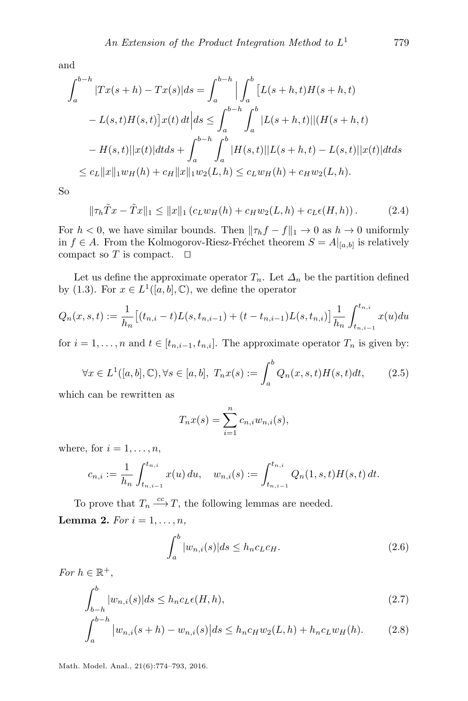and

$$
\int_{a}^{b-h} |Tx(s+h) - Tx(s)|ds = \int_{a}^{b-h} \left| \int_{a}^{b} [L(s+h,t)H(s+h,t) - L(s,t)H(s,t)]x(t) dt \right| ds \le \int_{a}^{b-h} \int_{a}^{b} |L(s+h,t)| |(H(s+h,t) - H(s,t)||x(t)|)dt ds + \int_{a}^{b-h} \int_{a}^{b} |H(s,t)||L(s+h,t) - L(s,t)||x(t)|dt ds
$$
  

$$
\le c_{L} ||x||_{1} w_{H}(h) + c_{H} ||x||_{1} w_{2}(L,h) \le c_{L} w_{H}(h) + c_{H} w_{2}(L,h).
$$

<span id="page-5-5"></span>So

$$
\|\tau_h \tilde{T}x - \tilde{T}x\|_1 \le \|x\|_1 (c_L w_H(h) + c_H w_2(L, h) + c_L \epsilon(H, h)). \tag{2.4}
$$

For  $h < 0$ , we have similar bounds. Then  $\|\tau_h f - f\|_1 \to 0$  as  $h \to 0$  uniformly in  $f$  ∈ A. From the Kolmogorov-Riesz-Fréchet theorem  $S = A|_{[a,b]}$  is relatively compact so T is compact.  $\square$ 

Let us define the approximate operator  $T_n$ . Let  $\Delta_n$  be the partition defined by [\(1.3\)](#page-1-0). For  $x \in L^1([a, b], \mathbb{C})$ , we define the operator

$$
Q_n(x, s, t) := \frac{1}{h_n} \left[ (t_{n,i} - t) L(s, t_{n,i-1}) + (t - t_{n,i-1}) L(s, t_{n,i}) \right] \frac{1}{h_n} \int_{t_{n,i-1}}^{t_{n,i}} x(u) du
$$

<span id="page-5-4"></span>for  $i = 1, ..., n$  and  $t \in [t_{n,i-1}, t_{n,i}]$ . The approximate operator  $T_n$  is given by:

$$
\forall x \in L^{1}([a, b], \mathbb{C}), \forall s \in [a, b], \ T_{n}x(s) := \int_{a}^{b} Q_{n}(x, s, t)H(s, t)dt, \tag{2.5}
$$

which can be rewritten as

$$
T_n x(s) = \sum_{i=1}^n c_{n,i} w_{n,i}(s),
$$

where, for  $i = 1, \ldots, n$ ,

$$
c_{n,i} := \frac{1}{h_n} \int_{t_{n,i-1}}^{t_{n,i}} x(u) \, du, \quad w_{n,i}(s) := \int_{t_{n,i-1}}^{t_{n,i}} Q_n(1,s,t) H(s,t) \, dt.
$$

To prove that  $T_n \xrightarrow{cc} T$ , the following lemmas are needed. **Lemma 2.** For  $i = 1, \ldots, n$ ,

<span id="page-5-3"></span><span id="page-5-2"></span><span id="page-5-1"></span><span id="page-5-0"></span>
$$
\int_{a}^{b} |w_{n,i}(s)| ds \le h_n c_L c_H.
$$
\n(2.6)

For  $h \in \mathbb{R}^+,$ 

$$
\int_{b-h}^{b} |w_{n,i}(s)| ds \le h_n c_L \epsilon(H,h),\tag{2.7}
$$

$$
\int_{a}^{b-h} |w_{n,i}(s+h) - w_{n,i}(s)| ds \le h_n c_H w_2(L,h) + h_n c_L w_H(h).
$$
 (2.8)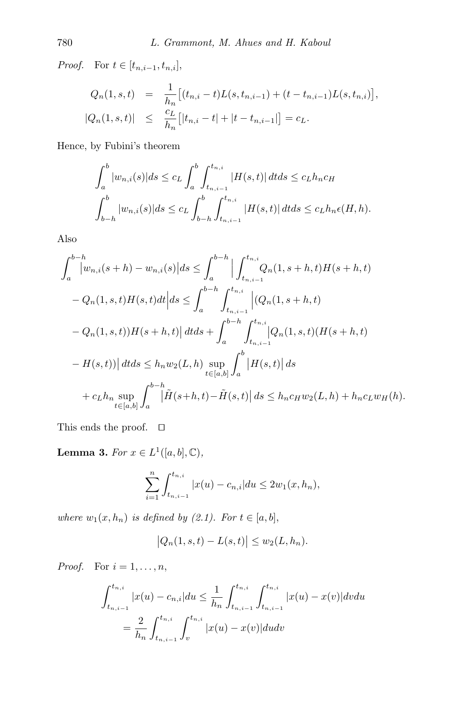Proof. For  $t \in [t_{n,i-1}, t_{n,i}],$ 

$$
Q_n(1, s, t) = \frac{1}{h_n} [(t_{n,i} - t)L(s, t_{n,i-1}) + (t - t_{n,i-1})L(s, t_{n,i})],
$$
  
\n
$$
|Q_n(1, s, t)| \leq \frac{c_L}{h_n} [|t_{n,i} - t| + |t - t_{n,i-1}|] = c_L.
$$

Hence, by Fubini's theorem

$$
\int_{a}^{b} |w_{n,i}(s)|ds \leq c_{L} \int_{a}^{b} \int_{t_{n,i-1}}^{t_{n,i}} |H(s,t)| dt ds \leq c_{L} h_{n} c_{H}
$$

$$
\int_{b-h}^{b} |w_{n,i}(s)| ds \leq c_{L} \int_{b-h}^{b} \int_{t_{n,i-1}}^{t_{n,i}} |H(s,t)| dt ds \leq c_{L} h_{n} \epsilon(H,h).
$$

Also

$$
\int_{a}^{b-h} |w_{n,i}(s+h) - w_{n,i}(s)|ds \leq \int_{a}^{b-h} \Big| \int_{t_{n,i-1}}^{t_{n,i}} Q_n(1, s+h, t)H(s+h, t) - Q_n(1, s, t)H(s, t)dt \Big| ds \leq \int_{a}^{b-h} \int_{t_{n,i-1}}^{t_{n,i}} \Big| (Q_n(1, s+h, t) - Q_n(1, s, t))H(s+h, t) \Big| dt ds + \int_{a}^{b-h} \int_{t_{n,i-1}}^{t_{n,i}} |Q_n(1, s, t)(H(s+h, t) - H(s, t))| dt ds \leq h_n w_2(L, h) \sup_{t \in [a, b]} \int_{a}^{b} |H(s, t)| ds
$$
  
+ c<sub>L</sub>h<sub>n</sub> sup<sub>t</sub>  $\int_{a}^{b-h} |\tilde{H}(s+h, t) - \tilde{H}(s, t)| ds \leq h_n c_H w_2(L, h) + h_n c_L w_H(h).$ 

This ends the proof.  $\quad \Box$ 

<span id="page-6-0"></span>**Lemma 3.** For  $x \in L^1([a, b], \mathbb{C}),$ 

$$
\sum_{i=1}^{n} \int_{t_{n,i-1}}^{t_{n,i}} |x(u) - c_{n,i}| du \le 2w_1(x, h_n),
$$

where  $w_1(x, h_n)$  is defined by [\(2.1\)](#page-2-1). For  $t \in [a, b]$ ,

$$
|Q_n(1, s, t) - L(s, t)| \le w_2(L, h_n).
$$

*Proof.* For  $i = 1, \ldots, n$ ,

$$
\int_{t_{n,i-1}}^{t_{n,i}} |x(u) - c_{n,i}| du \leq \frac{1}{h_n} \int_{t_{n,i-1}}^{t_{n,i}} \int_{t_{n,i-1}}^{t_{n,i}} |x(u) - x(v)| dv du
$$

$$
= \frac{2}{h_n} \int_{t_{n,i-1}}^{t_{n,i}} \int_{v}^{t_{n,i}} |x(u) - x(v)| du dv
$$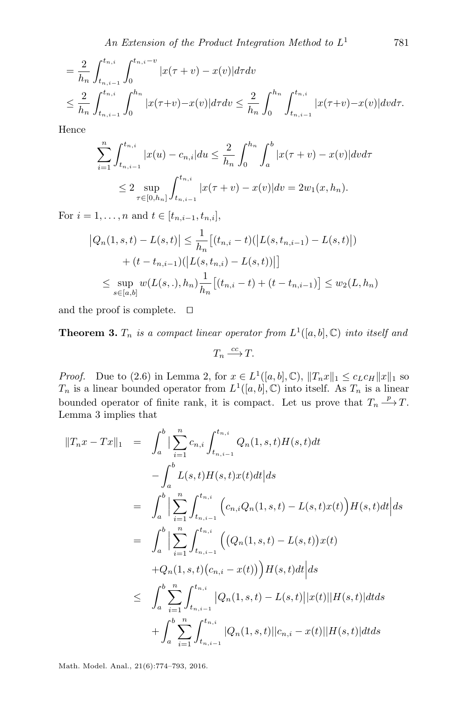$$
= \frac{2}{h_n} \int_{t_{n,i-1}}^{t_{n,i}} \int_0^{t_{n,i}-v} |x(\tau+v) - x(v)| d\tau dv
$$
  

$$
\leq \frac{2}{h_n} \int_{t_{n,i-1}}^{t_{n,i}} \int_0^{h_n} |x(\tau+v) - x(v)| d\tau dv \leq \frac{2}{h_n} \int_0^{h_n} \int_{t_{n,i-1}}^{t_{n,i}} |x(\tau+v) - x(v)| d\tau dx.
$$

Hence

$$
\sum_{i=1}^{n} \int_{t_{n,i-1}}^{t_{n,i}} |x(u) - c_{n,i}| du \leq \frac{2}{h_n} \int_0^{h_n} \int_a^b |x(\tau + v) - x(v)| dv d\tau
$$
  

$$
\leq 2 \sup_{\tau \in [0, h_n]} \int_{t_{n,i-1}}^{t_{n,i}} |x(\tau + v) - x(v)| dv = 2w_1(x, h_n).
$$

For  $i = 1, ..., n$  and  $t \in [t_{n,i-1}, t_{n,i}],$ 

$$
|Q_n(1, s, t) - L(s, t)| \leq \frac{1}{h_n} [(t_{n,i} - t)(|L(s, t_{n,i-1}) - L(s, t)|)
$$
  
+  $(t - t_{n,i-1})(|L(s, t_{n,i}) - L(s, t))|]$   
 $\leq \sup_{s \in [a, b]} w(L(s, .), h_n) \frac{1}{h_n} [(t_{n,i} - t) + (t - t_{n,i-1})] \leq w_2(L, h_n)$ 

and the proof is complete.  $\Box$ 

<span id="page-7-0"></span>**Theorem 3.**  $T_n$  is a compact linear operator from  $L^1([a, b], \mathbb{C})$  into itself and

$$
T_n \xrightarrow{cc} T.
$$

*Proof.* Due to [\(2.6\)](#page-5-0) in Lemma [2,](#page-5-1) for  $x \in L^1([a, b], \mathbb{C})$ ,  $||T_n x||_1 \leq c_L c_H ||x||_1$  so  $T_n$  is a linear bounded operator from  $L^1([a, b], \mathbb{C})$  into itself. As  $T_n$  is a linear bounded operator of finite rank, it is compact. Let us prove that  $T_n \xrightarrow{p} T$ . Lemma [3](#page-6-0) implies that

$$
||T_n x - Tx||_1 = \int_a^b \left| \sum_{i=1}^n c_{n,i} \int_{t_{n,i-1}}^{t_{n,i}} Q_n(1, s, t) H(s, t) dt \right|
$$
  
\n
$$
- \int_a^b L(s, t) H(s, t) x(t) dt \Big| ds
$$
  
\n
$$
= \int_a^b \left| \sum_{i=1}^n \int_{t_{n,i-1}}^{t_{n,i}} \left( c_{n,i} Q_n(1, s, t) - L(s, t) x(t) \right) H(s, t) dt \right| ds
$$
  
\n
$$
= \int_a^b \left| \sum_{i=1}^n \int_{t_{n,i-1}}^{t_{n,i}} \left( \left( Q_n(1, s, t) - L(s, t) \right) x(t) \right) + Q_n(1, s, t) \left( c_{n,i} - x(t) \right) \right) H(s, t) dt \Big| ds
$$
  
\n
$$
\leq \int_a^b \sum_{i=1}^n \int_{t_{n,i-1}}^{t_{n,i}} |Q_n(1, s, t) - L(s, t)| |x(t)| |H(s, t)| dt ds
$$
  
\n
$$
+ \int_a^b \sum_{i=1}^n \int_{t_{n,i-1}}^{t_{n,i}} |Q_n(1, s, t)| |c_{n,i} - x(t)| |H(s, t)| dt ds
$$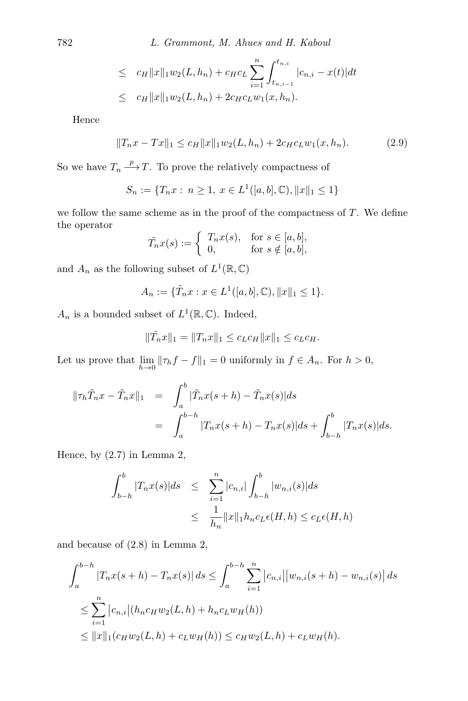$$
\leq c_H ||x||_1 w_2(L, h_n) + c_H c_L \sum_{i=1}^n \int_{t_{n,i-1}}^{t_{n,i}} |c_{n,i} - x(t)| dt
$$
  

$$
\leq c_H ||x||_1 w_2(L, h_n) + 2c_H c_L w_1(x, h_n).
$$

Hence

<span id="page-8-0"></span>
$$
||T_n x - Tx||_1 \le c_H ||x||_1 w_2(L, h_n) + 2c_H c_L w_1(x, h_n). \tag{2.9}
$$

So we have  $T_n \xrightarrow{p} T$ . To prove the relatively compactness of

$$
S_n := \{ T_n x : n \ge 1, x \in L^1([a, b], \mathbb{C}), ||x||_1 \le 1 \}
$$

we follow the same scheme as in the proof of the compactness of  $T$ . We define the operator

$$
\tilde{T}_n x(s) := \begin{cases} T_n x(s), & \text{for } s \in [a, b], \\ 0, & \text{for } s \notin [a, b], \end{cases}
$$

and  $A_n$  as the following subset of  $L^1(\mathbb{R}, \mathbb{C})$ 

$$
A_n := \{ \tilde{T}_n x : x \in L^1([a, b], \mathbb{C}), ||x||_1 \le 1 \}.
$$

 $A_n$  is a bounded subset of  $L^1(\mathbb{R}, \mathbb{C})$ . Indeed,

$$
\|\tilde{T}_n x\|_1 = \|T_n x\|_1 \le c_L c_H \|x\|_1 \le c_L c_H.
$$

Let us prove that  $\lim_{h\to 0} \|\tau_h f - f\|_1 = 0$  uniformly in  $f \in A_n$ . For  $h > 0$ ,

$$
\|\tau_h \tilde{T}_n x - \tilde{T}_n x\|_1 = \int_a^b |\tilde{T}_n x(s+h) - \tilde{T}_n x(s)| ds
$$
  
= 
$$
\int_a^{b-h} |T_n x(s+h) - T_n x(s)| ds + \int_{b-h}^b |T_n x(s)| ds.
$$

Hence, by  $(2.7)$  in Lemma [2,](#page-5-1)

$$
\int_{b-h}^{b} |T_n x(s)| ds \leq \sum_{i=1}^{n} |c_{n,i}| \int_{b-h}^{b} |w_{n,i}(s)| ds
$$
  

$$
\leq \frac{1}{h_n} ||x||_1 h_n c_L \epsilon(H,h) \leq c_L \epsilon(H,h)
$$

and because of [\(2.8\)](#page-5-3) in Lemma [2,](#page-5-1)

$$
\int_{a}^{b-h} |T_n x(s+h) - T_n x(s)| ds \le \int_{a}^{b-h} \sum_{i=1}^{n} |c_{n,i}| |w_{n,i}(s+h) - w_{n,i}(s)| ds
$$
  
\n
$$
\le \sum_{i=1}^{n} |c_{n,i}| (h_n c_H w_2(L, h) + h_n c_L w_H(h))
$$
  
\n
$$
\le ||x||_1 (c_H w_2(L, h) + c_L w_H(h)) \le c_H w_2(L, h) + c_L w_H(h).
$$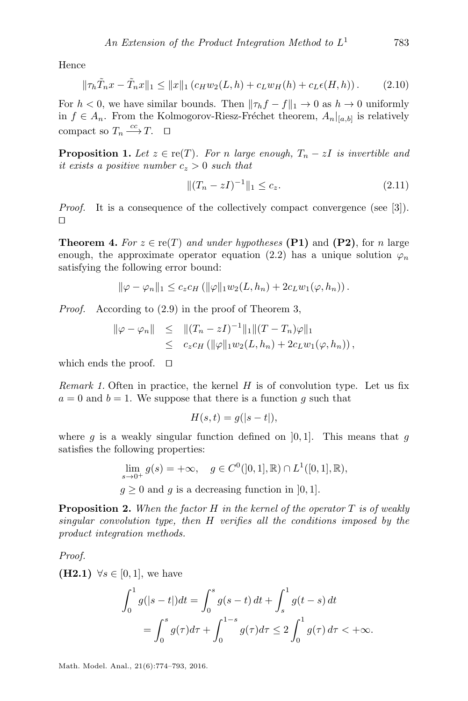Hence

<span id="page-9-0"></span>
$$
\|\tau_h \tilde{T}_n x - \tilde{T}_n x\|_1 \le \|x\|_1 \left(c_H w_2(L, h) + c_L w_H(h) + c_L \epsilon(H, h)\right). \tag{2.10}
$$

For  $h < 0$ , we have similar bounds. Then  $\|\tau_h f - f\|_1 \to 0$  as  $h \to 0$  uniformly in  $f \in A_n$ . From the Kolmogorov-Riesz-Fréchet theorem,  $A_n|_{[a,b]}$  is relatively compact so  $T_n \xrightarrow{cc} T$ .  $\Box$ 

**Proposition 1.** Let  $z \in \text{re}(T)$ . For n large enough,  $T_n - zI$  is invertible and it exists a positive number  $c_z > 0$  such that

<span id="page-9-1"></span>
$$
||(T_n - zI)^{-1}||_1 \le c_z.
$$
\n(2.11)

Proof. It is a consequence of the collectively compact convergence (see [\[3\]](#page-17-6)).  $\Box$ 

**Theorem 4.** For  $z \in \text{re}(T)$  and under hypotheses (P1) and (P2), for n large enough, the approximate operator equation [\(2.2\)](#page-2-2) has a unique solution  $\varphi_n$ satisfying the following error bound:

$$
\|\varphi-\varphi_n\|_1 \leq c_z c_H \left( \|\varphi\|_1 w_2(L, h_n) + 2c_L w_1(\varphi, h_n) \right).
$$

Proof. According to [\(2.9\)](#page-8-0) in the proof of Theorem [3,](#page-7-0)

$$
\|\varphi - \varphi_n\| \leq \| (T_n - zI)^{-1} \|_1 \| (T - T_n) \varphi \|_1
$$
  
 
$$
\leq c_z c_H \left( \| \varphi \|_1 w_2(L, h_n) + 2c_L w_1(\varphi, h_n) \right),
$$

which ends the proof.  $\square$ 

Remark 1. Often in practice, the kernel  $H$  is of convolution type. Let us fix  $a = 0$  and  $b = 1$ . We suppose that there is a function g such that

$$
H(s,t) = g(|s-t|),
$$

where g is a weakly singular function defined on  $[0, 1]$ . This means that g satisfies the following properties:

$$
\lim_{s \to 0^+} g(s) = +\infty, \quad g \in C^0([0,1], \mathbb{R}) \cap L^1([0,1], \mathbb{R}),
$$

 $g \geq 0$  and g is a decreasing function in [0, 1].

**Proposition 2.** When the factor H in the kernel of the operator T is of weakly singular convolution type, then H verifies all the conditions imposed by the product integration methods.

Proof.

(**H2.1**)  $\forall s \in [0,1]$ , we have

$$
\int_0^1 g(|s-t|)dt = \int_0^s g(s-t) dt + \int_s^1 g(t-s) dt
$$
  
= 
$$
\int_0^s g(\tau)d\tau + \int_0^{1-s} g(\tau)d\tau \le 2 \int_0^1 g(\tau)d\tau < +\infty.
$$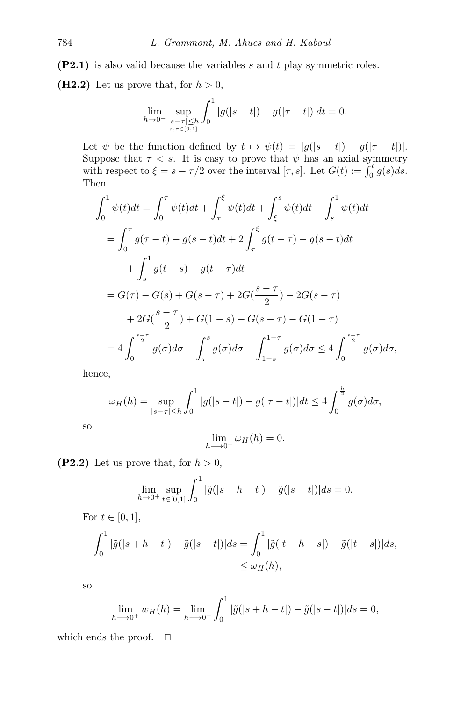$(P2.1)$  is also valid because the variables s and t play symmetric roles. (H2.2) Let us prove that, for  $h > 0$ ,

$$
\lim_{h \to 0^+} \sup_{\substack{|s-\tau| \leq h \\ s,\tau \in [0,1]}} \int_0^1 |g(|s-t|)-g(|\tau-t|)| dt = 0.
$$

Let  $\psi$  be the function defined by  $t \mapsto \psi(t) = |g(|s - t|) - g(|\tau - t|)|$ . Suppose that  $\tau < s$ . It is easy to prove that  $\psi$  has an axial symmetry with respect to  $\xi = s + \tau/2$  over the interval  $[\tau, s]$ . Let  $G(t) := \int_0^t g(s) ds$ . Then

$$
\int_{0}^{1} \psi(t)dt = \int_{0}^{\tau} \psi(t)dt + \int_{\tau}^{\xi} \psi(t)dt + \int_{\xi}^{s} \psi(t)dt + \int_{s}^{1} \psi(t)dt
$$
  
\n
$$
= \int_{0}^{\tau} g(\tau - t) - g(s - t)dt + 2 \int_{\tau}^{\xi} g(t - \tau) - g(s - t)dt
$$
  
\n
$$
+ \int_{s}^{1} g(t - s) - g(t - \tau)dt
$$
  
\n
$$
= G(\tau) - G(s) + G(s - \tau) + 2G(\frac{s - \tau}{2}) - 2G(s - \tau)
$$
  
\n
$$
+ 2G(\frac{s - \tau}{2}) + G(1 - s) + G(s - \tau) - G(1 - \tau)
$$
  
\n
$$
= 4 \int_{0}^{\frac{s - \tau}{2}} g(\sigma)d\sigma - \int_{\tau}^{s} g(\sigma)d\sigma - \int_{1 - s}^{1 - \tau} g(\sigma)d\sigma \le 4 \int_{0}^{\frac{s - \tau}{2}} g(\sigma)d\sigma,
$$

hence,

so

$$
\omega_H(h) = \sup_{|s-\tau| \le h} \int_0^1 |g(|s-t|) - g(|\tau - t|)| dt \le 4 \int_0^{\frac{h}{2}} g(\sigma) d\sigma,
$$

$$
\lim_{h \longrightarrow 0^+} \omega_H(h) = 0.
$$

(P2.2) Let us prove that, for  $h > 0$ ,

$$
\lim_{h \to 0^+} \sup_{t \in [0,1]} \int_0^1 |\tilde{g}(|s+h-t|) - \tilde{g}(|s-t|)| ds = 0.
$$

For 
$$
t \in [0, 1]
$$
,  
\n
$$
\int_0^1 |\tilde{g}(|s+h-t|) - \tilde{g}(|s-t|)| ds = \int_0^1 |\tilde{g}(|t-h-s|) - \tilde{g}(|t-s|)| ds,
$$
\n
$$
\leq \omega_H(h),
$$

so

$$
\lim_{h \to 0^+} w_H(h) = \lim_{h \to 0^+} \int_0^1 |\tilde{g}(|s+h-t|) - \tilde{g}(|s-t|)| ds = 0,
$$

which ends the proof.  $\square$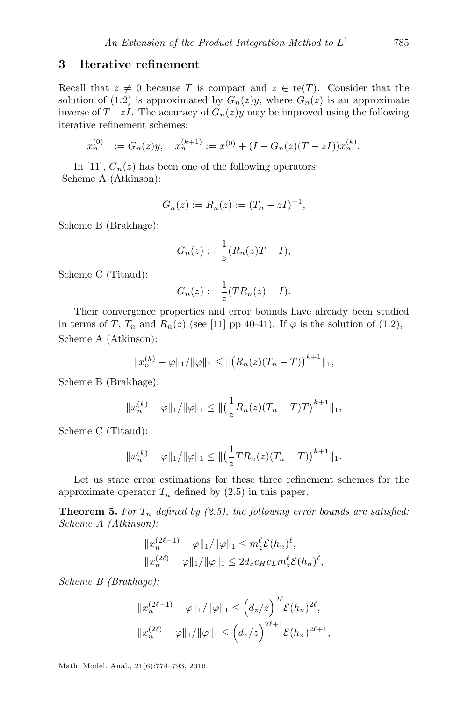#### <span id="page-11-0"></span>3 Iterative refinement

Recall that  $z \neq 0$  because T is compact and  $z \in \text{re}(T)$ . Consider that the solution of [\(1.2\)](#page-0-1) is approximated by  $G_n(z)y$ , where  $G_n(z)$  is an approximate inverse of  $T - zI$ . The accuracy of  $G_n(z)y$  may be improved using the following iterative refinement schemes:

$$
x_n^{(0)} := G_n(z)y, \quad x_n^{(k+1)} := x^{(0)} + (I - G_n(z)(T - zI))x_n^{(k)}.
$$

In [\[11\]](#page-18-0),  $G_n(z)$  has been one of the following operators: Scheme A (Atkinson):

$$
G_n(z) := R_n(z) := (T_n - zI)^{-1},
$$

Scheme B (Brakhage):

$$
G_n(z) := \frac{1}{z}(R_n(z)T - I),
$$

Scheme C (Titaud):

$$
G_n(z) := \frac{1}{z}(TR_n(z) - I).
$$

Their convergence properties and error bounds have already been studied in terms of T,  $T_n$  and  $R_n(z)$  (see [\[11\]](#page-18-0) pp 40-41). If  $\varphi$  is the solution of [\(1.2\)](#page-0-1), Scheme A (Atkinson):

$$
||x_n^{(k)} - \varphi||_1 / ||\varphi||_1 \le ||(R_n(z)(T_n - T))^{k+1}||_1,
$$

Scheme B (Brakhage):

$$
||x_n^{(k)} - \varphi||_1 / ||\varphi||_1 \le ||\left(\frac{1}{z}R_n(z)(T_n - T)T\right)^{k+1}||_1,
$$

Scheme C (Titaud):

$$
||x_n^{(k)} - \varphi||_1 / ||\varphi||_1 \le ||\left(\frac{1}{z}TR_n(z)(T_n - T)\right)^{k+1}||_1.
$$

Let us state error estimations for these three refinement schemes for the approximate operator  $T_n$  defined by [\(2.5\)](#page-5-4) in this paper.

**Theorem 5.** For  $T_n$  defined by [\(2.5\)](#page-5-4), the following error bounds are satisfied: Scheme A (Atkinson):

$$
||x_n^{(2\ell-1)} - \varphi||_1/||\varphi||_1 \le m_\varepsilon^{\ell} \mathcal{E}(h_n)^{\ell},
$$
  

$$
||x_n^{(2\ell)} - \varphi||_1/||\varphi||_1 \le 2d_z c_H c_L m_\varepsilon^{\ell} \mathcal{E}(h_n)^{\ell},
$$

Scheme B (Brakhage):

$$
||x_n^{(2\ell-1)} - \varphi||_1/||\varphi||_1 \leq (d_z/z)^{2\ell} \mathcal{E}(h_n)^{2\ell},
$$
  

$$
||x_n^{(2\ell)} - \varphi||_1/||\varphi||_1 \leq (d_z/z)^{2\ell+1} \mathcal{E}(h_n)^{2\ell+1},
$$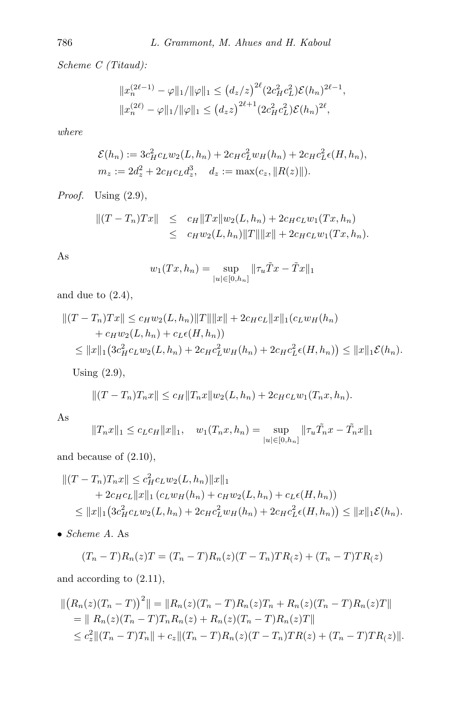Scheme C (Titaud):

$$
||x_n^{(2\ell-1)} - \varphi||_1/||\varphi||_1 \le (d_z/z)^{2\ell} (2c_H^2 c_L^2) \mathcal{E}(h_n)^{2\ell-1},
$$
  

$$
||x_n^{(2\ell)} - \varphi||_1/||\varphi||_1 \le (d_z z)^{2\ell+1} (2c_H^2 c_L^2) \mathcal{E}(h_n)^{2\ell},
$$

where

$$
\mathcal{E}(h_n) := 3c_H^2 c_L w_2(L, h_n) + 2c_H c_L^2 w_H(h_n) + 2c_H c_L^2 \epsilon(H, h_n),
$$
  
\n
$$
m_z := 2d_z^2 + 2c_H c_L d_z^3, \quad d_z := \max(c_z, ||R(z)||).
$$

Proof. Using  $(2.9)$ ,

$$
||(T - T_n)Tx|| \leq c_H ||Tx||w_2(L, h_n) + 2c_H c_L w_1(Tx, h_n)
$$
  

$$
\leq c_H w_2(L, h_n) ||T|| ||x|| + 2c_H c_L w_1(Tx, h_n).
$$

As

$$
w_1(Tx, h_n) = \sup_{|u| \in [0, h_n]} ||\tau_u \tilde{T}x - \tilde{T}x||_1
$$

and due to  $(2.4)$ ,

$$
||(T - T_n)Tx|| \le c_H w_2(L, h_n) ||T|| ||x|| + 2c_H c_L ||x||_1(c_L w_H(h_n) + c_H w_2(L, h_n) + c_L \epsilon(H, h_n))
$$
  
\$\leq ||x||\_1 (3c\_H^2 c\_L w\_2(L, h\_n) + 2c\_H c\_L^2 w\_H(h\_n) + 2c\_H c\_L^2 \epsilon(H, h\_n)) \leq ||x||\_1 \mathcal{E}(h\_n).

Using [\(2.9\)](#page-8-0),

$$
||(T - T_n)T_n x|| \le c_H ||T_n x|| w_2(L, h_n) + 2c_H c_L w_1(T_n x, h_n).
$$

As

$$
||T_n x||_1 \le c_L c_H ||x||_1
$$
,  $w_1(T_n x, h_n) = \sup_{|u| \in [0, h_n]} ||\tau_u \tilde{T}_n x - \tilde{T}_n x||_1$ 

and because of [\(2.10\)](#page-9-0),

$$
||(T - T_n)T_n x|| \leq c_H^2 c_L w_2(L, h_n) ||x||_1 + 2c_H c_L ||x||_1 (c_L w_H(h_n) + c_H w_2(L, h_n) + c_L \epsilon(H, h_n)) \leq ||x||_1 (3c_H^2 c_L w_2(L, h_n) + 2c_H c_L^2 w_H(h_n) + 2c_H c_L^2 \epsilon(H, h_n)) \leq ||x||_1 \mathcal{E}(h_n).
$$

• Scheme A. As

$$
(T_n - T)R_n(z)T = (T_n - T)R_n(z)(T - T_n)TR(z) + (T_n - T)TR(z)
$$

and according to [\(2.11\)](#page-9-1),

$$
\begin{aligned} \|(R_n(z)(T_n-T))^2\| &= \|R_n(z)(T_n-T)R_n(z)T_n + R_n(z)(T_n-T)R_n(z)T\| \\ &= \|R_n(z)(T_n-T)T_nR_n(z) + R_n(z)(T_n-T)R_n(z)T\| \\ &\le c_z^2 \|(T_n-T)T_n\| + c_z \|(T_n-T)R_n(z)(T-T_n)TR(z) + (T_n-T)TR(z)\|. \end{aligned}
$$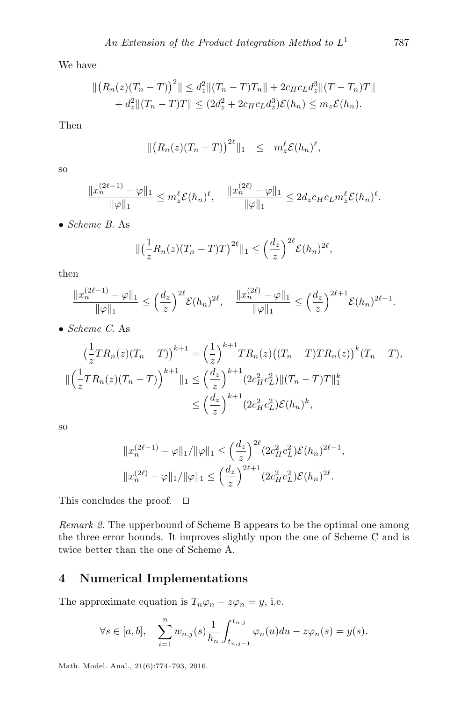We have

$$
\| (R_n(z)(T_n - T))^2 \| \le d_z^2 \| (T_n - T)T_n \| + 2c_H c_L d_z^3 \| (T - T_n)T \| + d_z^2 \| (T_n - T)T \| \le (2d_z^2 + 2c_H c_L d_z^3) \mathcal{E}(h_n) \le m_z \mathcal{E}(h_n).
$$

Then

$$
\| (R_n(z)(T_n-T))^{2\ell} \|_1 \leq m_z^{\ell} \mathcal{E}(h_n)^{\ell},
$$

so

$$
\frac{\|x_n^{(2\ell-1)} - \varphi\|_1}{\|\varphi\|_1} \leq m_\zeta \mathcal{E}(h_n)^\ell, \quad \frac{\|x_n^{(2\ell)} - \varphi\|_1}{\|\varphi\|_1} \leq 2d_z c_H c_L m_\zeta \mathcal{E}(h_n)^\ell.
$$

• Scheme B. As

$$
\|\left(\frac{1}{z}R_n(z)(T_n-T)T\right)^{2\ell}\|_1 \leq \left(\frac{d_z}{z}\right)^{2\ell} \mathcal{E}(h_n)^{2\ell},
$$

then

$$
\frac{\|x_n^{(2\ell-1)} - \varphi\|_1}{\|\varphi\|_1} \le \left(\frac{d_z}{z}\right)^{2\ell} \mathcal{E}(h_n)^{2\ell}, \quad \frac{\|x_n^{(2\ell)} - \varphi\|_1}{\|\varphi\|_1} \le \left(\frac{d_z}{z}\right)^{2\ell+1} \mathcal{E}(h_n)^{2\ell+1}.
$$

• Scheme C. As

$$
\left(\frac{1}{z}TR_n(z)(T_n - T)\right)^{k+1} = \left(\frac{1}{z}\right)^{k+1}TR_n(z)\left((T_n - T)TR_n(z)\right)^k(T_n - T),
$$
  

$$
\|\left(\frac{1}{z}TR_n(z)(T_n - T)\right)^{k+1}\|_1 \le \left(\frac{d_z}{z}\right)^{k+1} (2c_H^2c_L^2) \|(T_n - T)T\|_1^k
$$
  

$$
\le \left(\frac{d_z}{z}\right)^{k+1} (2c_H^2c_L^2)\mathcal{E}(h_n)^k,
$$

so

$$
||x_n^{(2\ell-1)} - \varphi||_1 / ||\varphi||_1 \le \left(\frac{d_z}{z}\right)^{2\ell} (2c_H^2 c_L^2) \mathcal{E}(h_n)^{2\ell-1},
$$
  

$$
||x_n^{(2\ell)} - \varphi||_1 / ||\varphi||_1 \le \left(\frac{d_z}{z}\right)^{2\ell+1} (2c_H^2 c_L^2) \mathcal{E}(h_n)^{2\ell}.
$$

This concludes the proof.  $\square$ 

<span id="page-13-1"></span>Remark 2. The upperbound of Scheme B appears to be the optimal one among the three error bounds. It improves slightly upon the one of Scheme C and is twice better than the one of Scheme A.

### <span id="page-13-0"></span>4 Numerical Implementations

The approximate equation is  $T_n\varphi_n - z\varphi_n = y$ , i.e.

$$
\forall s \in [a, b], \quad \sum_{i=1}^n w_{n,j}(s) \frac{1}{h_n} \int_{t_{n,j-1}}^{t_{n,j}} \varphi_n(u) du - z \varphi_n(s) = y(s).
$$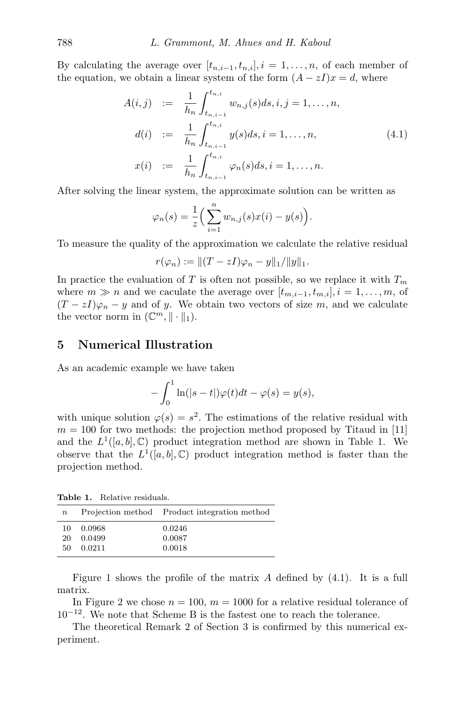By calculating the average over  $[t_{n,i-1}, t_{n,i}], i = 1, \ldots, n$ , of each member of the equation, we obtain a linear system of the form  $(A - zI)x = d$ , where

<span id="page-14-2"></span>
$$
A(i,j) := \frac{1}{h_n} \int_{t_{n,i-1}}^{t_{n,i}} w_{n,j}(s) ds, i, j = 1, ..., n,
$$
  
\n
$$
d(i) := \frac{1}{h_n} \int_{t_{n,i-1}}^{t_{n,i}} y(s) ds, i = 1, ..., n,
$$
  
\n
$$
x(i) := \frac{1}{h_n} \int_{t_{n,i-1}}^{t_{n,i}} \varphi_n(s) ds, i = 1, ..., n.
$$
\n(4.1)

After solving the linear system, the approximate solution can be written as

$$
\varphi_n(s) = \frac{1}{z} \left( \sum_{i=1}^n w_{n,j}(s) x(i) - y(s) \right).
$$

To measure the quality of the approximation we calculate the relative residual

$$
r(\varphi_n) := ||(T - zI)\varphi_n - y||_1/||y||_1.
$$

In practice the evaluation of T is often not possible, so we replace it with  $T_m$ where  $m \gg n$  and we caculate the average over  $[t_{m,i-1}, t_{m,i}], i = 1, \ldots, m$ , of  $(T - zI)\varphi_n - y$  and of y. We obtain two vectors of size m, and we calculate the vector norm in  $(\mathbb{C}^m, \|\cdot\|_1)$ .

#### <span id="page-14-0"></span>5 Numerical Illustration

As an academic example we have taken

$$
-\int_0^1 \ln(|s-t|)\varphi(t)dt - \varphi(s) = y(s),
$$

with unique solution  $\varphi(s) = s^2$ . The estimations of the relative residual with  $m = 100$  for two methods: the projection method proposed by Titaud in [\[11\]](#page-18-0) and the  $L^1([a, b], \mathbb{C})$  product integration method are shown in Table [1.](#page-14-1) We observe that the  $L^1([a, b], \mathbb{C})$  product integration method is faster than the projection method.

<span id="page-14-1"></span>Table 1. Relative residuals.

| $\boldsymbol{n}$ |        | Projection method Product integration method |
|------------------|--------|----------------------------------------------|
| 10               | 0.0968 | 0.0246                                       |
| 20               | 0.0499 | 0.0087                                       |
| 50.              | 0.0211 | 0.0018                                       |

Figure [1](#page-15-1) shows the profile of the matrix  $A$  defined by  $(4.1)$ . It is a full matrix.

In Figure [2](#page-15-2) we chose  $n = 100$ ,  $m = 1000$  for a relative residual tolerance of  $10^{-12}$ . We note that Scheme B is the fastest one to reach the tolerance.

The theoretical Remark [2](#page-13-1) of Section [3](#page-11-0) is confirmed by this numerical experiment.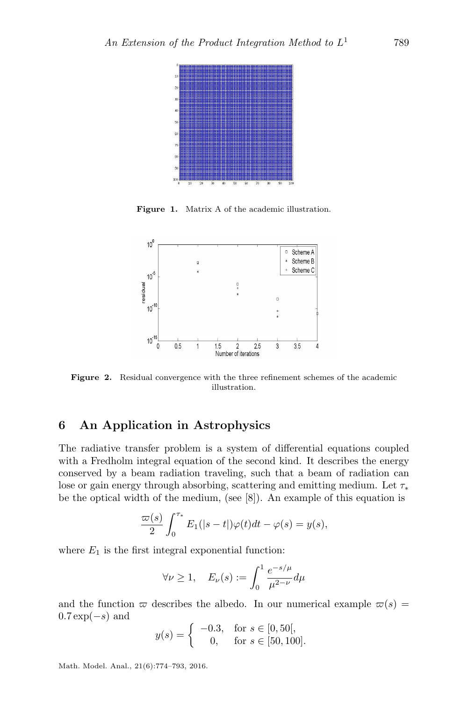<span id="page-15-1"></span>

Figure 1. Matrix A of the academic illustration.

<span id="page-15-2"></span>

Figure 2. Residual convergence with the three refinement schemes of the academic illustration.

#### <span id="page-15-0"></span>6 An Application in Astrophysics

The radiative transfer problem is a system of differential equations coupled with a Fredholm integral equation of the second kind. It describes the energy conserved by a beam radiation traveling, such that a beam of radiation can lose or gain energy through absorbing, scattering and emitting medium. Let  $\tau_*$ be the optical width of the medium, (see [\[8\]](#page-17-7)). An example of this equation is

$$
\frac{\varpi(s)}{2} \int_0^{\tau_*} E_1(|s-t|) \varphi(t) dt - \varphi(s) = y(s),
$$

where  $E_1$  is the first integral exponential function:

$$
\forall \nu \ge 1, \quad E_{\nu}(s) := \int_0^1 \frac{e^{-s/\mu}}{\mu^{2-\nu}} d\mu
$$

and the function  $\varpi$  describes the albedo. In our numerical example  $\varpi(s)$  =  $0.7 \exp(-s)$  and

$$
y(s) = \begin{cases} -0.3, & \text{for } s \in [0, 50], \\ 0, & \text{for } s \in [50, 100]. \end{cases}
$$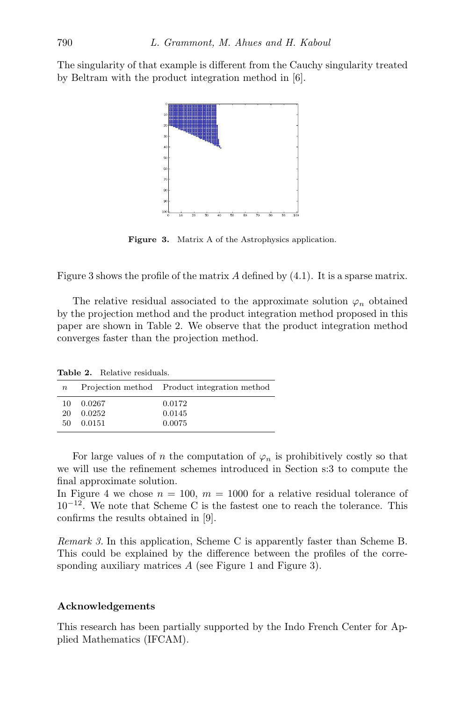<span id="page-16-0"></span>The singularity of that example is different from the Cauchy singularity treated by Beltram with the product integration method in [\[6\]](#page-17-8).



Figure 3. Matrix A of the Astrophysics application.

Figure [3](#page-16-0) shows the profile of the matrix  $A$  defined by  $(4.1)$ . It is a sparse matrix.

The relative residual associated to the approximate solution  $\varphi_n$  obtained by the projection method and the product integration method proposed in this paper are shown in Table [2.](#page-16-1) We observe that the product integration method converges faster than the projection method.

<span id="page-16-1"></span>Table 2. Relative residuals. n Projection method Product integration method

| 10 | 0.0267 | 0.0172 |  |
|----|--------|--------|--|
| 20 | 0.0252 | 0.0145 |  |
| 50 | 0.0151 | 0.0075 |  |

For large values of n the computation of  $\varphi_n$  is prohibitively costly so that we will use the refinement schemes introduced in Section s:3 to compute the final approximate solution.

In Figure [4](#page-17-9) we chose  $n = 100$ ,  $m = 1000$  for a relative residual tolerance of 10<sup>−</sup><sup>12</sup>. We note that Scheme C is the fastest one to reach the tolerance. This confirms the results obtained in [\[9\]](#page-17-10).

Remark 3. In this application, Scheme C is apparently faster than Scheme B. This could be explained by the difference between the profiles of the corre-sponding auxiliary matrices A (see Figure [1](#page-15-1) and Figure [3\)](#page-16-0).

#### Acknowledgements

This research has been partially supported by the Indo French Center for Applied Mathematics (IFCAM).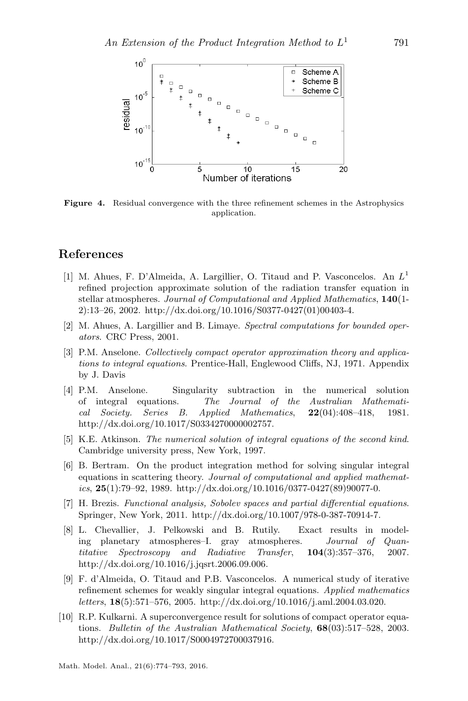<span id="page-17-9"></span>

Figure 4. Residual convergence with the three refinement schemes in the Astrophysics application.

#### References

- <span id="page-17-4"></span>[1] M. Ahues, F. D'Almeida, A. Largillier, O. Titaud and P. Vasconcelos. An  $L^1$ refined projection approximate solution of the radiation transfer equation in stellar atmospheres. Journal of Computational and Applied Mathematics, 140(1-2):13–26, 2002. [http://dx.doi.org/10.1016/S0377-0427\(01\)00403-4.](http://dx.doi.org/10.1016/S0377-0427(01)00403-4)
- <span id="page-17-2"></span>[2] M. Ahues, A. Largillier and B. Limaye. Spectral computations for bounded operators. CRC Press, 2001.
- <span id="page-17-6"></span>[3] P.M. Anselone. Collectively compact operator approximation theory and applications to integral equations. Prentice-Hall, Englewood Cliffs, NJ, 1971. Appendix by J. Davis
- <span id="page-17-3"></span>[4] P.M. Anselone. Singularity subtraction in the numerical solution of integral equations. The Journal of the Australian Mathematical Society. Series B. Applied Mathematics, 22(04):408–418, 1981. [http://dx.doi.org/10.1017/S0334270000002757.](http://dx.doi.org/10.1017/S0334270000002757)
- <span id="page-17-0"></span>[5] K.E. Atkinson. The numerical solution of integral equations of the second kind. Cambridge university press, New York, 1997.
- <span id="page-17-8"></span>[6] B. Bertram. On the product integration method for solving singular integral equations in scattering theory. Journal of computational and applied mathemat $ics, 25(1):79-92, 1989.$  [http://dx.doi.org/10.1016/0377-0427\(89\)90077-0.](http://dx.doi.org/10.1016/0377-0427(89)90077-0)
- <span id="page-17-5"></span>[7] H. Brezis. Functional analysis, Sobolev spaces and partial differential equations. Springer, New York, 2011. [http://dx.doi.org/10.1007/978-0-387-70914-7.](http://dx.doi.org/10.1007/978-0-387-70914-7)
- <span id="page-17-7"></span>[8] L. Chevallier, J. Pelkowski and B. Rutily. Exact results in modeling planetary atmospheres–I. gray atmospheres. Journal of Quantitative Spectroscopy and Radiative Transfer, 104(3):357–376, 2007. [http://dx.doi.org/10.1016/j.jqsrt.2006.09.006.](http://dx.doi.org/10.1016/j.jqsrt.2006.09.006)
- <span id="page-17-10"></span>[9] F. d'Almeida, O. Titaud and P.B. Vasconcelos. A numerical study of iterative refinement schemes for weakly singular integral equations. Applied mathematics letters, 18(5):571–576, 2005. [http://dx.doi.org/10.1016/j.aml.2004.03.020.](http://dx.doi.org/10.1016/j.aml.2004.03.020)
- <span id="page-17-1"></span>[10] R.P. Kulkarni. A superconvergence result for solutions of compact operator equations. Bulletin of the Australian Mathematical Society, 68(03):517–528, 2003. [http://dx.doi.org/10.1017/S0004972700037916.](http://dx.doi.org/10.1017/S0004972700037916)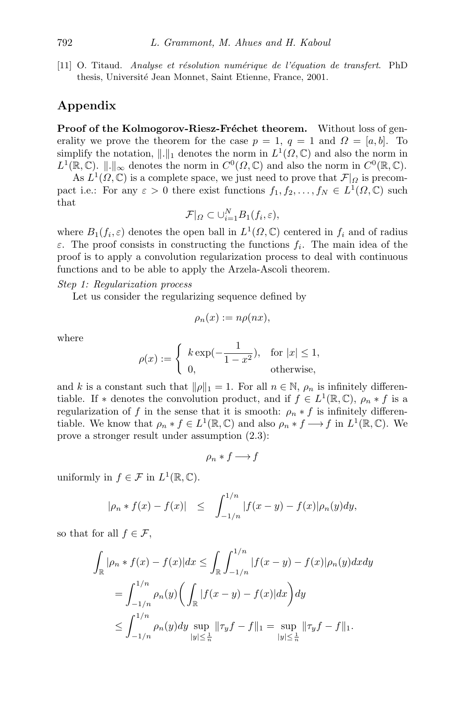<span id="page-18-0"></span>[11] O. Titaud. Analyse et résolution numérique de l'équation de transfert. PhD thesis, Université Jean Monnet, Saint Etienne, France, 2001.

## Appendix

Proof of the Kolmogorov-Riesz-Fréchet theorem. Without loss of generality we prove the theorem for the case  $p = 1$ ,  $q = 1$  and  $\Omega = [a, b]$ . To simplify the notation,  $\|\cdot\|_1$  denotes the norm in  $L^1(\Omega,\mathbb{C})$  and also the norm in  $L^1(\mathbb{R}, \mathbb{C})$ .  $\|\cdot\|_{\infty}$  denotes the norm in  $C^0(\Omega, \mathbb{C})$  and also the norm in  $C^0(\mathbb{R}, \mathbb{C})$ .

As  $L^1(\Omega,\mathbb{C})$  is a complete space, we just need to prove that  $\mathcal{F}|_{\Omega}$  is precompact i.e.: For any  $\varepsilon > 0$  there exist functions  $f_1, f_2, \ldots, f_N \in L^1(\Omega, \mathbb{C})$  such that

$$
\mathcal{F}|_{\Omega} \subset \bigcup_{i=1}^{N} B_1(f_i, \varepsilon),
$$

where  $B_1(f_i, \varepsilon)$  denotes the open ball in  $L^1(\Omega, \mathbb{C})$  centered in  $f_i$  and of radius  $\varepsilon$ . The proof consists in constructing the functions  $f_i$ . The main idea of the proof is to apply a convolution regularization process to deal with continuous functions and to be able to apply the Arzela-Ascoli theorem.

Step 1: Regularization process

Let us consider the regularizing sequence defined by

$$
\rho_n(x) := n\rho(nx),
$$

where

$$
\rho(x) := \begin{cases} k \exp(-\frac{1}{1-x^2}), & \text{for } |x| \le 1, \\ 0, & \text{otherwise,} \end{cases}
$$

and k is a constant such that  $\|\rho\|_1 = 1$ . For all  $n \in \mathbb{N}$ ,  $\rho_n$  is infinitely differentiable. If \* denotes the convolution product, and if  $f \in L^1(\mathbb{R}, \mathbb{C})$ ,  $\rho_n * f$  is a regularization of f in the sense that it is smooth:  $\rho_n * f$  is infinitely differentiable. We know that  $\rho_n * f \in L^1(\mathbb{R}, \mathbb{C})$  and also  $\rho_n * f \longrightarrow f$  in  $L^1(\mathbb{R}, \mathbb{C})$ . We prove a stronger result under assumption [\(2.3\)](#page-3-0):

 $\rho_n * f \longrightarrow f$ 

uniformly in  $f \in \mathcal{F}$  in  $L^1(\mathbb{R}, \mathbb{C})$ .

$$
|\rho_n * f(x) - f(x)| \le \int_{-1/n}^{1/n} |f(x - y) - f(x)| \rho_n(y) dy,
$$

so that for all  $f \in \mathcal{F}$ ,

$$
\int_{\mathbb{R}} |\rho_n * f(x) - f(x)| dx \le \int_{\mathbb{R}} \int_{-1/n}^{1/n} |f(x - y) - f(x)| \rho_n(y) dx dy
$$
  
= 
$$
\int_{-1/n}^{1/n} \rho_n(y) \left( \int_{\mathbb{R}} |f(x - y) - f(x)| dx \right) dy
$$
  

$$
\le \int_{-1/n}^{1/n} \rho_n(y) dy \sup_{\substack{|y| \le \frac{1}{n}}} ||\tau_y f - f||_1 = \sup_{\substack{|y| \le \frac{1}{n}}} ||\tau_y f - f||_1.
$$